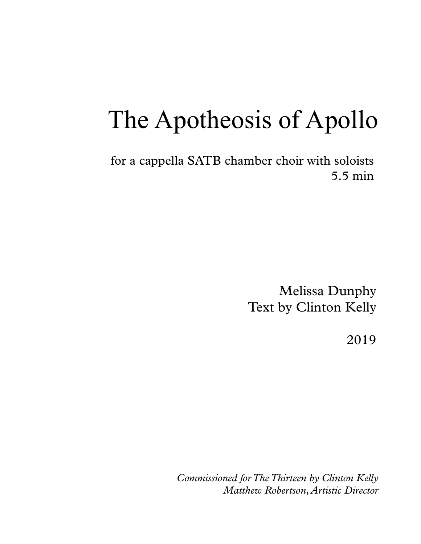## The Apotheosis of Apollo

for a cappella SATB chamber choir with soloists 5.5 min

> Melissa Dunphy Text by Clinton Kelly

> > 2019

*Commissioned for The Thirteen by Clinton Kelly Matthew Robertson, Artistic Director*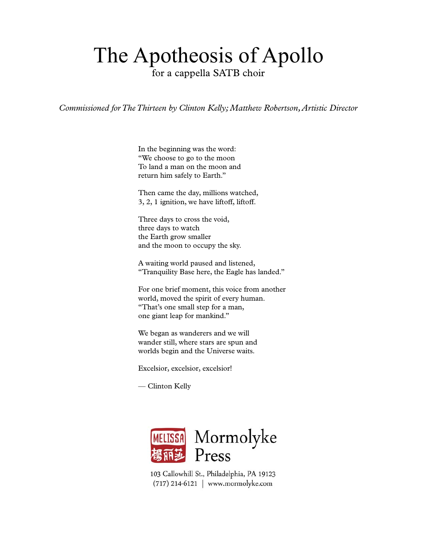## The Apotheosis of Apollo

for a cappella SATB choir

*Commissioned for The Thirteen by Clinton Kelly; Matthew Robertson, Artistic Director*

In the beginning was the word: "We choose to go to the moon To land a man on the moon and return him safely to Earth."

Then came the day, millions watched, 3, 2, 1 ignition, we have liftoff, liftoff.

Three days to cross the void, three days to watch the Earth grow smaller and the moon to occupy the sky.

A waiting world paused and listened, "Tranquility Base here, the Eagle has landed."

For one brief moment, this voice from another world, moved the spirit of every human. "That's one small step for a man, one giant leap for mankind."

We began as wanderers and we will wander still, where stars are spun and worlds begin and the Universe waits.

Excelsior, excelsior, excelsior!

— Clinton Kelly



103 Callowhill St., Philadelphia, PA 19123 (717) 214-6121 | www.mormolyke.com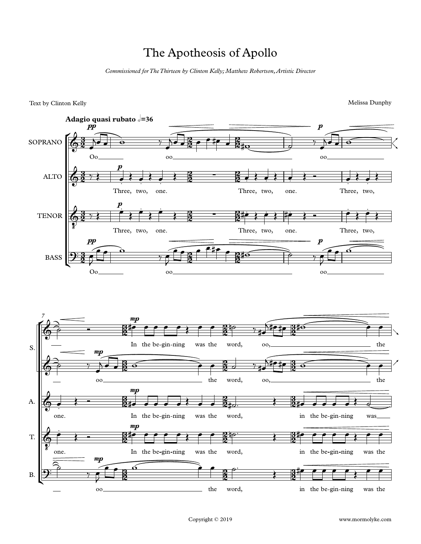## The Apotheosis of Apollo

*Commissioned for The Thirteen by Clinton Kelly; Matthew Robertson, Artistic Director*

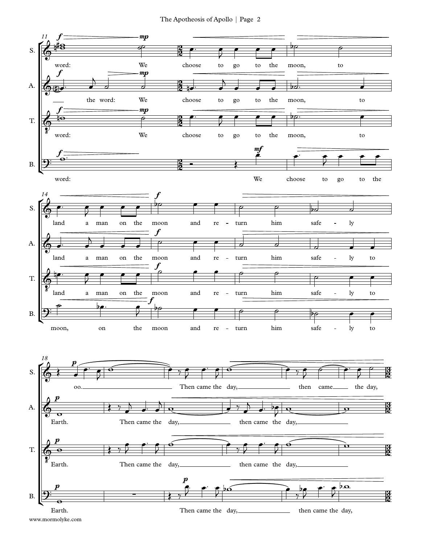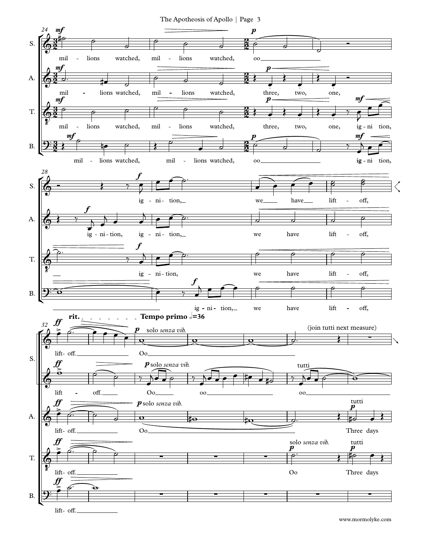The Apotheosis of Apollo | Page 3

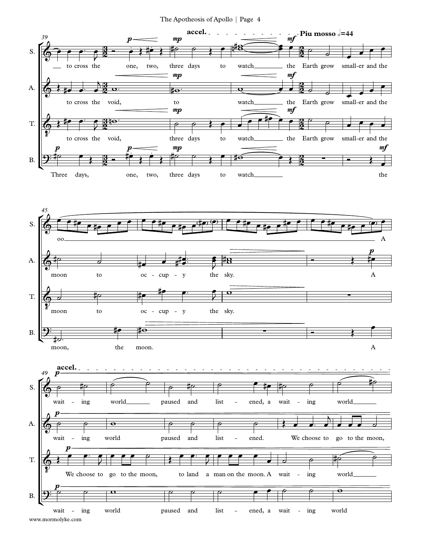The Apotheosis of Apollo | Page 4

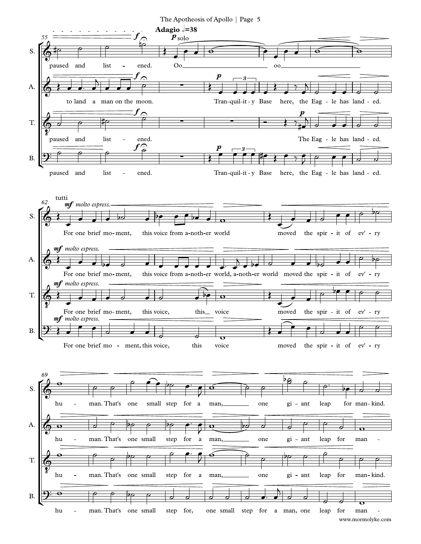